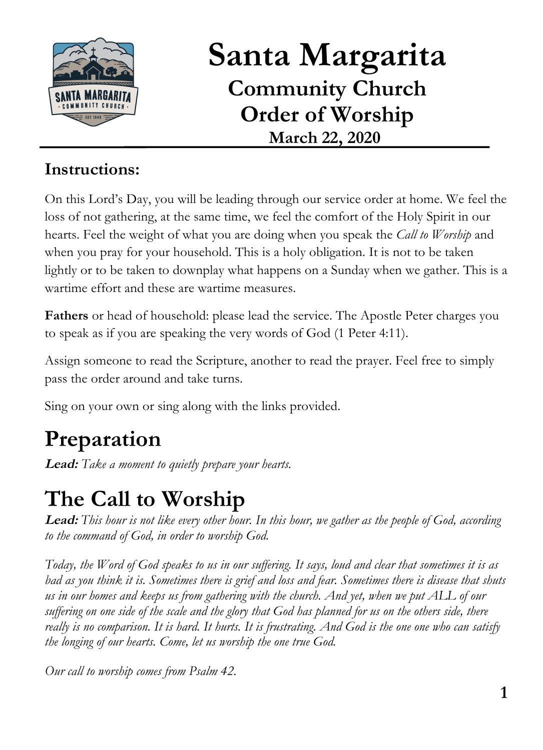

# **Santa Margarita Community Church Order of Worship March 22, 2020**

#### **Instructions:**

On this Lord's Day, you will be leading through our service order at home. We feel the loss of not gathering, at the same time, we feel the comfort of the Holy Spirit in our hearts. Feel the weight of what you are doing when you speak the *Call to Worship* and when you pray for your household. This is a holy obligation. It is not to be taken lightly or to be taken to downplay what happens on a Sunday when we gather. This is a wartime effort and these are wartime measures.

**Fathers** or head of household: please lead the service. The Apostle Peter charges you to speak as if you are speaking the very words of God (1 Peter 4:11).

Assign someone to read the Scripture, another to read the prayer. Feel free to simply pass the order around and take turns.

Sing on your own or sing along with the links provided.

# **Preparation**

**Lead:** *Take a moment to quietly prepare your hearts.*

# **The Call to Worship**

**Lead:** *This hour is not like every other hour. In this hour, we gather as the people of God, according to the command of God, in order to worship God.*

*Today, the Word of God speaks to us in our suffering. It says, loud and clear that sometimes it is as bad as you think it is. Sometimes there is grief and loss and fear. Sometimes there is disease that shuts us in our homes and keeps us from gathering with the church. And yet, when we put ALL of our suffering on one side of the scale and the glory that God has planned for us on the others side, there really is no comparison. It is hard. It hurts. It is frustrating. And God is the one one who can satisfy the longing of our hearts. Come, let us worship the one true God.*

*Our call to worship comes from Psalm 42.*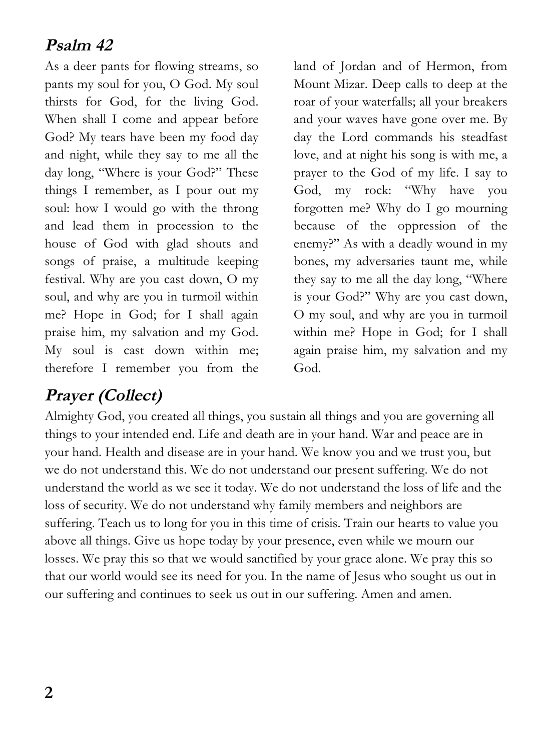#### **Psalm 42**

As a deer pants for flowing streams, so pants my soul for you, O God. My soul thirsts for God, for the living God. When shall I come and appear before God? My tears have been my food day and night, while they say to me all the day long, "Where is your God?" These things I remember, as I pour out my soul: how I would go with the throng and lead them in procession to the house of God with glad shouts and songs of praise, a multitude keeping festival. Why are you cast down, O my soul, and why are you in turmoil within me? Hope in God; for I shall again praise him, my salvation and my God. My soul is cast down within me; therefore I remember you from the

land of Jordan and of Hermon, from Mount Mizar. Deep calls to deep at the roar of your waterfalls; all your breakers and your waves have gone over me. By day the Lord commands his steadfast love, and at night his song is with me, a prayer to the God of my life. I say to God, my rock: "Why have you forgotten me? Why do I go mourning because of the oppression of the enemy?" As with a deadly wound in my bones, my adversaries taunt me, while they say to me all the day long, "Where is your God?" Why are you cast down, O my soul, and why are you in turmoil within me? Hope in God; for I shall again praise him, my salvation and my God.

### **Prayer (Collect)**

Almighty God, you created all things, you sustain all things and you are governing all things to your intended end. Life and death are in your hand. War and peace are in your hand. Health and disease are in your hand. We know you and we trust you, but we do not understand this. We do not understand our present suffering. We do not understand the world as we see it today. We do not understand the loss of life and the loss of security. We do not understand why family members and neighbors are suffering. Teach us to long for you in this time of crisis. Train our hearts to value you above all things. Give us hope today by your presence, even while we mourn our losses. We pray this so that we would sanctified by your grace alone. We pray this so that our world would see its need for you. In the name of Jesus who sought us out in our suffering and continues to seek us out in our suffering. Amen and amen.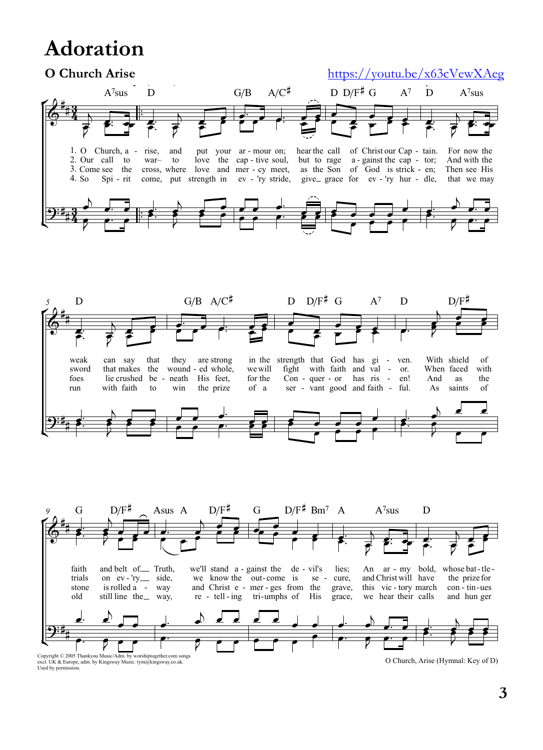## **Adoration**



 $\label{eq:conjugate} \begin{minipage}{0.9\textwidth} \begin{minipage}{0.9\textwidth} \begin{tabular}{l} \textbf{Copyright & % \textbf{Show} & \textbf{Show} \\ \textbf{C} & \textbf{New} & \textbf{New} \\ \textbf{New} & \textbf{New} & \textbf{New} \\ \textbf{New} & \textbf{New} \\ \textbf{New} & \textbf{New} \\ \textbf{New} & \textbf{New} \\ \textbf{New} & \textbf{New} \\ \textbf{New} & \textbf{New} \\ \textbf{New} & \textbf{New} \\ \textbf{New} & \textbf{New} \\ \textbf{New} & \textbf{New}$ 

O Church, Arise (Hymnal: Key of D)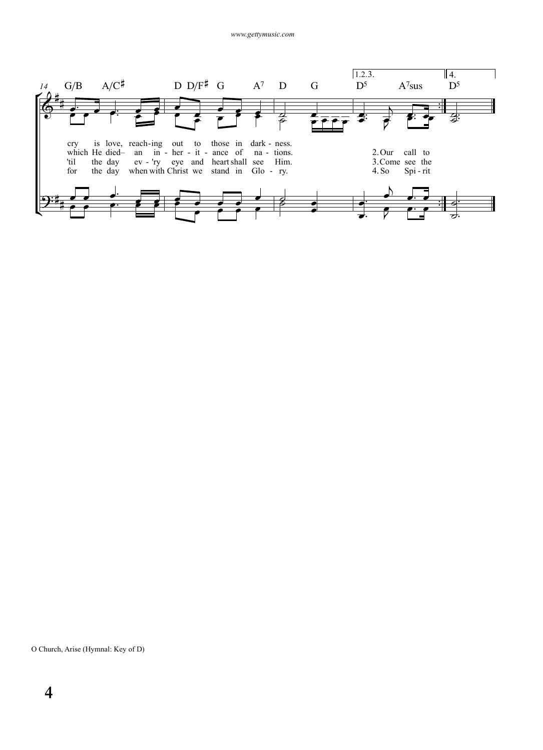

O Church, Arise (Hymnal: Key of D)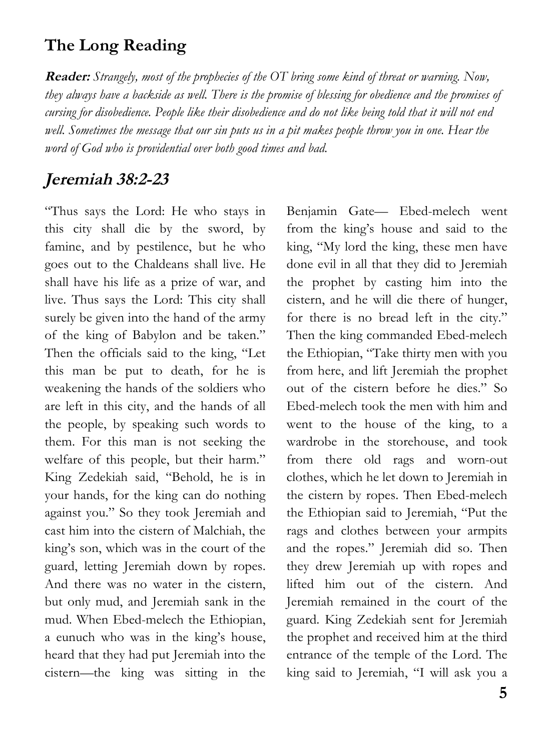#### **The Long Reading**

**Reader:** *Strangely, most of the prophecies of the OT bring some kind of threat or warning. Now, they always have a backside as well. There is the promise of blessing for obedience and the promises of cursing for disobedience. People like their disobedience and do not like being told that it will not end well. Sometimes the message that our sin puts us in a pit makes people throw you in one. Hear the word of God who is providential over both good times and bad.*

#### **Jeremiah 38:2-23**

"Thus says the Lord: He who stays in this city shall die by the sword, by famine, and by pestilence, but he who goes out to the Chaldeans shall live. He shall have his life as a prize of war, and live. Thus says the Lord: This city shall surely be given into the hand of the army of the king of Babylon and be taken." Then the officials said to the king, "Let this man be put to death, for he is weakening the hands of the soldiers who are left in this city, and the hands of all the people, by speaking such words to them. For this man is not seeking the welfare of this people, but their harm." King Zedekiah said, "Behold, he is in your hands, for the king can do nothing against you." So they took Jeremiah and cast him into the cistern of Malchiah, the king's son, which was in the court of the guard, letting Jeremiah down by ropes. And there was no water in the cistern, but only mud, and Jeremiah sank in the mud. When Ebed-melech the Ethiopian, a eunuch who was in the king's house, heard that they had put Jeremiah into the cistern—the king was sitting in the

Benjamin Gate— Ebed-melech went from the king's house and said to the king, "My lord the king, these men have done evil in all that they did to Jeremiah the prophet by casting him into the cistern, and he will die there of hunger, for there is no bread left in the city." Then the king commanded Ebed-melech the Ethiopian, "Take thirty men with you from here, and lift Jeremiah the prophet out of the cistern before he dies." So Ebed-melech took the men with him and went to the house of the king, to a wardrobe in the storehouse, and took from there old rags and worn-out clothes, which he let down to Jeremiah in the cistern by ropes. Then Ebed-melech the Ethiopian said to Jeremiah, "Put the rags and clothes between your armpits and the ropes." Jeremiah did so. Then they drew Jeremiah up with ropes and lifted him out of the cistern. And Jeremiah remained in the court of the guard. King Zedekiah sent for Jeremiah the prophet and received him at the third entrance of the temple of the Lord. The king said to Jeremiah, "I will ask you a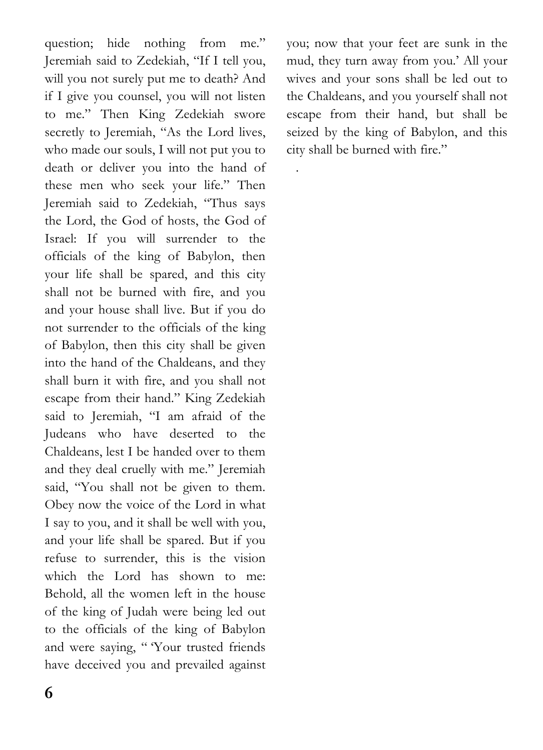question; hide nothing from me." Jeremiah said to Zedekiah, "If I tell you, will you not surely put me to death? And if I give you counsel, you will not listen to me." Then King Zedekiah swore secretly to Jeremiah, "As the Lord lives, who made our souls, I will not put you to death or deliver you into the hand of these men who seek your life." Then Jeremiah said to Zedekiah, "Thus says the Lord, the God of hosts, the God of Israel: If you will surrender to the officials of the king of Babylon, then your life shall be spared, and this city shall not be burned with fire, and you and your house shall live. But if you do not surrender to the officials of the king of Babylon, then this city shall be given into the hand of the Chaldeans, and they shall burn it with fire, and you shall not escape from their hand." King Zedekiah said to Jeremiah, "I am afraid of the Judeans who have deserted to the Chaldeans, lest I be handed over to them and they deal cruelly with me." Jeremiah said, "You shall not be given to them. Obey now the voice of the Lord in what I say to you, and it shall be well with you, and your life shall be spared. But if you refuse to surrender, this is the vision which the Lord has shown to me: Behold, all the women left in the house of the king of Judah were being led out to the officials of the king of Babylon and were saying, "Your trusted friends have deceived you and prevailed against

you; now that your feet are sunk in the mud, they turn away from you.' All your wives and your sons shall be led out to the Chaldeans, and you yourself shall not escape from their hand, but shall be seized by the king of Babylon, and this city shall be burned with fire."

.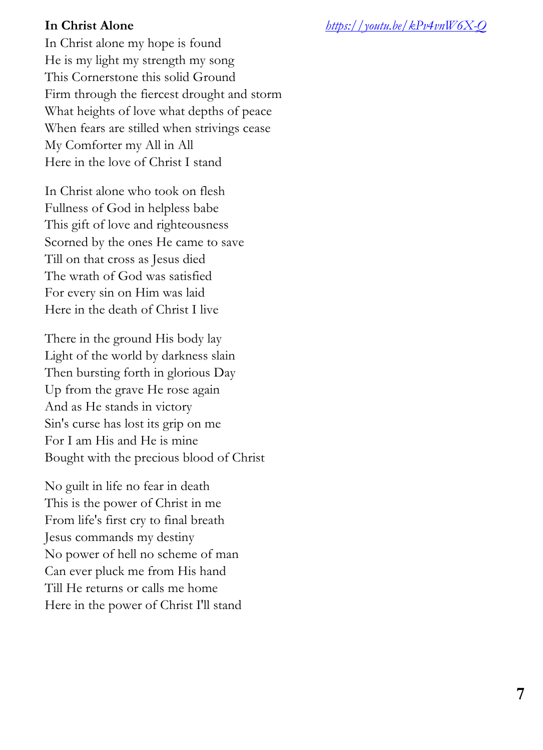**In Christ Alone** *https://youtu.be/kPv4vnW6X-Q*

In Christ alone my hope is found He is my light my strength my song This Cornerstone this solid Ground Firm through the fiercest drought and storm What heights of love what depths of peace When fears are stilled when strivings cease My Comforter my All in All Here in the love of Christ I stand

In Christ alone who took on flesh Fullness of God in helpless babe This gift of love and righteousness Scorned by the ones He came to save Till on that cross as Jesus died The wrath of God was satisfied For every sin on Him was laid Here in the death of Christ I live

There in the ground His body lay Light of the world by darkness slain Then bursting forth in glorious Day Up from the grave He rose again And as He stands in victory Sin's curse has lost its grip on me For I am His and He is mine Bought with the precious blood of Christ

No guilt in life no fear in death This is the power of Christ in me From life's first cry to final breath Jesus commands my destiny No power of hell no scheme of man Can ever pluck me from His hand Till He returns or calls me home Here in the power of Christ I'll stand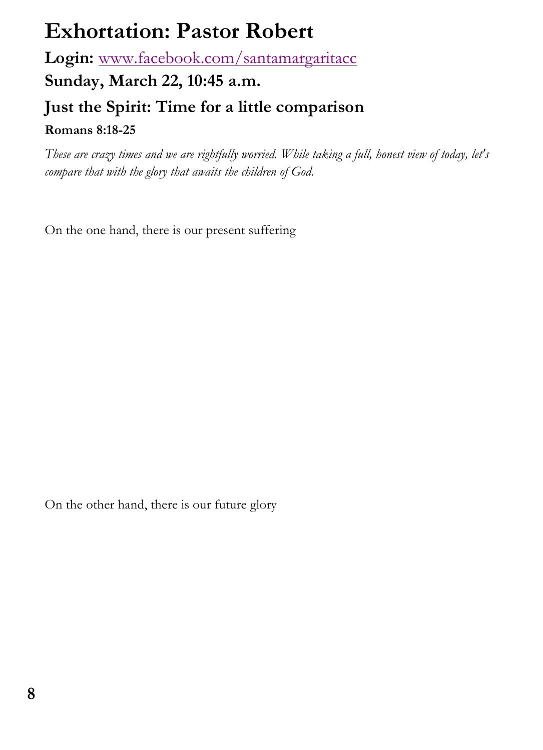## **Exhortation: Pastor Robert**

**Login:** www.facebook.com/santamargaritacc

**Sunday, March 22, 10:45 a.m.**

#### **Just the Spirit: Time for a little comparison**

**Romans 8:18-25**

*These are crazy times and we are rightfully worried. While taking a full, honest view of today, let's compare that with the glory that awaits the children of God.*

On the one hand, there is our present suffering

On the other hand, there is our future glory